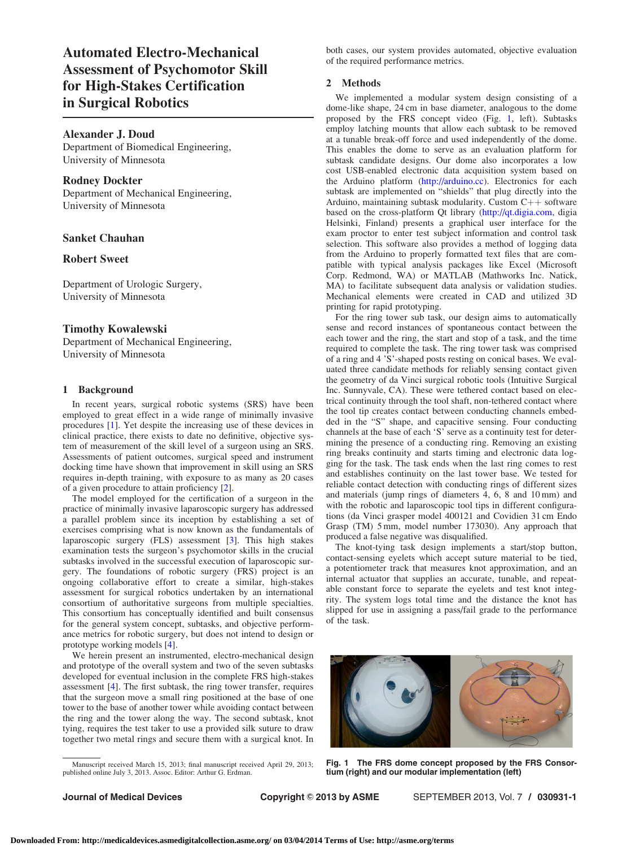<span id="page-0-0"></span>Automated Electro-Mechanical Assessment of Psychomotor Skill for High-Stakes Certification in Surgical Robotics

## Alexander J. Doud

Department of Biomedical Engineering, University of Minnesota

# Rodney Dockter

Department of Mechanical Engineering, University of Minnesota

# Sanket Chauhan

# Robert Sweet

Department of Urologic Surgery, University of Minnesota

### Timothy Kowalewski

Department of Mechanical Engineering, University of Minnesota

# 1 Background

In recent years, surgical robotic systems (SRS) have been employed to great effect in a wide range of minimally invasive procedures [\[1\]](#page-1-0). Yet despite the increasing use of these devices in clinical practice, there exists to date no definitive, objective system of measurement of the skill level of a surgeon using an SRS. Assessments of patient outcomes, surgical speed and instrument docking time have shown that improvement in skill using an SRS requires in-depth training, with exposure to as many as 20 cases of a given procedure to attain proficiency [\[2\]](#page-1-0).

The model employed for the certification of a surgeon in the practice of minimally invasive laparoscopic surgery has addressed a parallel problem since its inception by establishing a set of exercises comprising what is now known as the fundamentals of laparoscopic surgery (FLS) assessment [\[3\]](#page-1-0). This high stakes examination tests the surgeon's psychomotor skills in the crucial subtasks involved in the successful execution of laparoscopic surgery. The foundations of robotic surgery (FRS) project is an ongoing collaborative effort to create a similar, high-stakes assessment for surgical robotics undertaken by an international consortium of authoritative surgeons from multiple specialties. This consortium has conceptually identified and built consensus for the general system concept, subtasks, and objective performance metrics for robotic surgery, but does not intend to design or prototype working models [\[4\]](#page-1-0).

We herein present an instrumented, electro-mechanical design and prototype of the overall system and two of the seven subtasks developed for eventual inclusion in the complete FRS high-stakes assessment [[4](#page-1-0)]. The first subtask, the ring tower transfer, requires that the surgeon move a small ring positioned at the base of one tower to the base of another tower while avoiding contact between the ring and the tower along the way. The second subtask, knot tying, requires the test taker to use a provided silk suture to draw together two metal rings and secure them with a surgical knot. In

both cases, our system provides automated, objective evaluation of the required performance metrics.

#### 2 Methods

We implemented a modular system design consisting of a dome-like shape, 24 cm in base diameter, analogous to the dome proposed by the FRS concept video (Fig. 1, left). Subtasks employ latching mounts that allow each subtask to be removed at a tunable break-off force and used independently of the dome. This enables the dome to serve as an evaluation platform for subtask candidate designs. Our dome also incorporates a low cost USB-enabled electronic data acquisition system based on the Arduino platform [\(http://arduino.cc\)](http://qt.digia.com). Electronics for each subtask are implemented on "shields" that plug directly into the Arduino, maintaining subtask modularity. Custom  $C++$  software based on the cross-platform Qt library [\(http://qt.digia.com](http://qt.digia.com), digia Helsinki, Finland) presents a graphical user interface for the exam proctor to enter test subject information and control task selection. This software also provides a method of logging data from the Arduino to properly formatted text files that are compatible with typical analysis packages like Excel (Microsoft Corp. Redmond, WA) or MATLAB (Mathworks Inc. Natick, MA) to facilitate subsequent data analysis or validation studies. Mechanical elements were created in CAD and utilized 3D printing for rapid prototyping.

For the ring tower sub task, our design aims to automatically sense and record instances of spontaneous contact between the each tower and the ring, the start and stop of a task, and the time required to complete the task. The ring tower task was comprised of a ring and 4 'S'-shaped posts resting on conical bases. We evaluated three candidate methods for reliably sensing contact given the geometry of da Vinci surgical robotic tools (Intuitive Surgical Inc. Sunnyvale, CA). These were tethered contact based on electrical continuity through the tool shaft, non-tethered contact where the tool tip creates contact between conducting channels embedded in the "S" shape, and capacitive sensing. Four conducting channels at the base of each 'S' serve as a continuity test for determining the presence of a conducting ring. Removing an existing ring breaks continuity and starts timing and electronic data logging for the task. The task ends when the last ring comes to rest and establishes continuity on the last tower base. We tested for reliable contact detection with conducting rings of different sizes and materials (jump rings of diameters 4, 6, 8 and 10 mm) and with the robotic and laparoscopic tool tips in different configurations (da Vinci grasper model 400121 and Covidien 31 cm Endo Grasp (TM) 5 mm, model number 173030). Any approach that produced a false negative was disqualified.

The knot-tying task design implements a start/stop button, contact-sensing eyelets which accept suture material to be tied, a potentiometer track that measures knot approximation, and an internal actuator that supplies an accurate, tunable, and repeatable constant force to separate the eyelets and test knot integrity. The system logs total time and the distance the knot has slipped for use in assigning a pass/fail grade to the performance of the task.



Fig. 1 The FRS dome concept proposed by the FRS Consortium (right) and our modular implementation (left)

Manuscript received March 15, 2013; final manuscript received April 29, 2013; published online July 3, 2013. Assoc. Editor: Arthur G. Erdman.